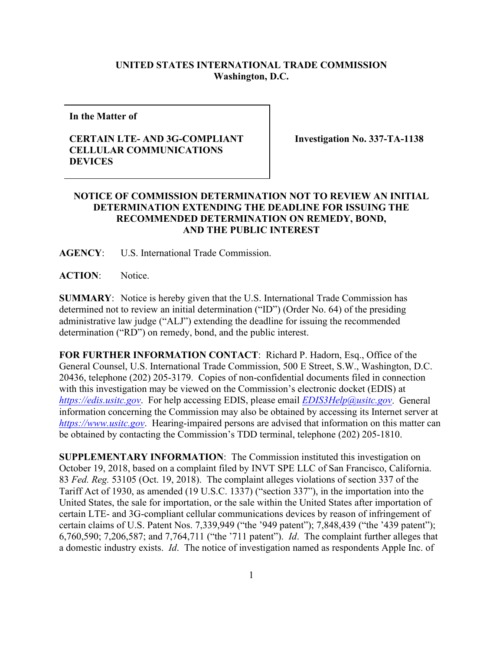## **UNITED STATES INTERNATIONAL TRADE COMMISSION Washington, D.C.**

**In the Matter of**

## **CERTAIN LTE- AND 3G-COMPLIANT CELLULAR COMMUNICATIONS DEVICES**

**Investigation No. 337-TA-1138**

## **NOTICE OF COMMISSION DETERMINATION NOT TO REVIEW AN INITIAL DETERMINATION EXTENDING THE DEADLINE FOR ISSUING THE RECOMMENDED DETERMINATION ON REMEDY, BOND, AND THE PUBLIC INTEREST**

**AGENCY**: U.S. International Trade Commission.

**ACTION**: Notice.

**SUMMARY**: Notice is hereby given that the U.S. International Trade Commission has determined not to review an initial determination ("ID") (Order No. 64) of the presiding administrative law judge ("ALJ") extending the deadline for issuing the recommended determination ("RD") on remedy, bond, and the public interest.

**FOR FURTHER INFORMATION CONTACT**: Richard P. Hadorn, Esq., Office of the General Counsel, U.S. International Trade Commission, 500 E Street, S.W., Washington, D.C. 20436, telephone (202) 205-3179. Copies of non-confidential documents filed in connection with this investigation may be viewed on the Commission's electronic docket (EDIS) at *[https://edis.usitc.gov](https://edis.usitc.gov/)*. For help accessing EDIS, please email *[EDIS3Help@usitc.gov](mailto:EDIS3Help@usitc.gov)*. General information concerning the Commission may also be obtained by accessing its Internet server at *[https://www.usitc.gov](https://www.usitc.gov/)*. Hearing-impaired persons are advised that information on this matter can be obtained by contacting the Commission's TDD terminal, telephone (202) 205-1810.

**SUPPLEMENTARY INFORMATION**: The Commission instituted this investigation on October 19, 2018, based on a complaint filed by INVT SPE LLC of San Francisco, California. 83 *Fed. Reg.* 53105 (Oct. 19, 2018). The complaint alleges violations of section 337 of the Tariff Act of 1930, as amended (19 U.S.C. 1337) ("section 337"), in the importation into the United States, the sale for importation, or the sale within the United States after importation of certain LTE- and 3G-compliant cellular communications devices by reason of infringement of certain claims of U.S. Patent Nos. 7,339,949 ("the '949 patent"); 7,848,439 ("the '439 patent"); 6,760,590; 7,206,587; and 7,764,711 ("the '711 patent"). *Id*. The complaint further alleges that a domestic industry exists. *Id*. The notice of investigation named as respondents Apple Inc. of